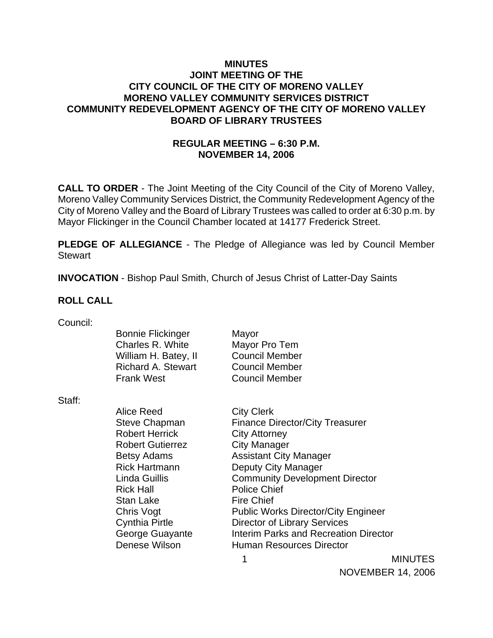### **MINUTES JOINT MEETING OF THE CITY COUNCIL OF THE CITY OF MORENO VALLEY MORENO VALLEY COMMUNITY SERVICES DISTRICT COMMUNITY REDEVELOPMENT AGENCY OF THE CITY OF MORENO VALLEY BOARD OF LIBRARY TRUSTEES**

### **REGULAR MEETING – 6:30 P.M. NOVEMBER 14, 2006**

**CALL TO ORDER** - The Joint Meeting of the City Council of the City of Moreno Valley, Moreno Valley Community Services District, the Community Redevelopment Agency of the City of Moreno Valley and the Board of Library Trustees was called to order at 6:30 p.m. by Mayor Flickinger in the Council Chamber located at 14177 Frederick Street.

**PLEDGE OF ALLEGIANCE** - The Pledge of Allegiance was led by Council Member **Stewart** 

**INVOCATION** - Bishop Paul Smith, Church of Jesus Christ of Latter-Day Saints

#### **ROLL CALL**

| Council: |  |
|----------|--|
|          |  |

| <b>Bonnie Flickinger</b>  | Mayor                 |
|---------------------------|-----------------------|
| Charles R. White          | Mayor Pro Tem         |
| William H. Batey, II      | <b>Council Member</b> |
| <b>Richard A. Stewart</b> | <b>Council Member</b> |
| <b>Frank West</b>         | <b>Council Member</b> |
|                           |                       |

Staff:

Alice Reed City Clerk Robert Herrick City Attorney Robert Gutierrez **City Manager** Rick Hall **Police Chief** Stan Lake Fire Chief

Steve Chapman Finance Director/City Treasurer Betsy Adams Assistant City Manager Rick Hartmann Deputy City Manager Linda Guillis Community Development Director Chris Vogt **Public Works Director/City Engineer** Cynthia Pirtle Director of Library Services George Guayante **Interim Parks and Recreation Director** Denese Wilson **Human Resources Director** 

 1 MINUTES NOVEMBER 14, 2006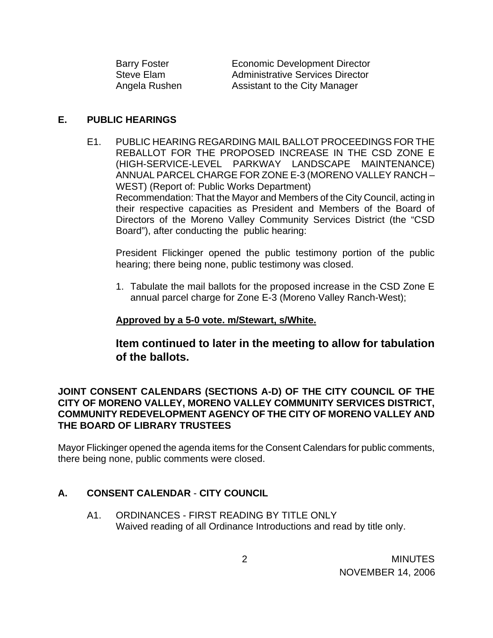| <b>Barry Foster</b> | <b>Economic Development Director</b>    |
|---------------------|-----------------------------------------|
| Steve Elam          | <b>Administrative Services Director</b> |
| Angela Rushen       | Assistant to the City Manager           |

#### **E. PUBLIC HEARINGS**

E1. PUBLIC HEARING REGARDING MAIL BALLOT PROCEEDINGS FOR THE REBALLOT FOR THE PROPOSED INCREASE IN THE CSD ZONE E (HIGH-SERVICE-LEVEL PARKWAY LANDSCAPE MAINTENANCE) ANNUAL PARCEL CHARGE FOR ZONE E-3 (MORENO VALLEY RANCH – WEST) (Report of: Public Works Department) Recommendation: That the Mayor and Members of the City Council, acting in their respective capacities as President and Members of the Board of Directors of the Moreno Valley Community Services District (the "CSD Board"), after conducting the public hearing:

 President Flickinger opened the public testimony portion of the public hearing; there being none, public testimony was closed.

1. Tabulate the mail ballots for the proposed increase in the CSD Zone E annual parcel charge for Zone E-3 (Moreno Valley Ranch-West);

#### **Approved by a 5-0 vote. m/Stewart, s/White.**

## **Item continued to later in the meeting to allow for tabulation of the ballots.**

### **JOINT CONSENT CALENDARS (SECTIONS A-D) OF THE CITY COUNCIL OF THE CITY OF MORENO VALLEY, MORENO VALLEY COMMUNITY SERVICES DISTRICT, COMMUNITY REDEVELOPMENT AGENCY OF THE CITY OF MORENO VALLEY AND THE BOARD OF LIBRARY TRUSTEES**

Mayor Flickinger opened the agenda items for the Consent Calendars for public comments, there being none, public comments were closed.

### **A. CONSENT CALENDAR** - **CITY COUNCIL**

A1. ORDINANCES - FIRST READING BY TITLE ONLY Waived reading of all Ordinance Introductions and read by title only.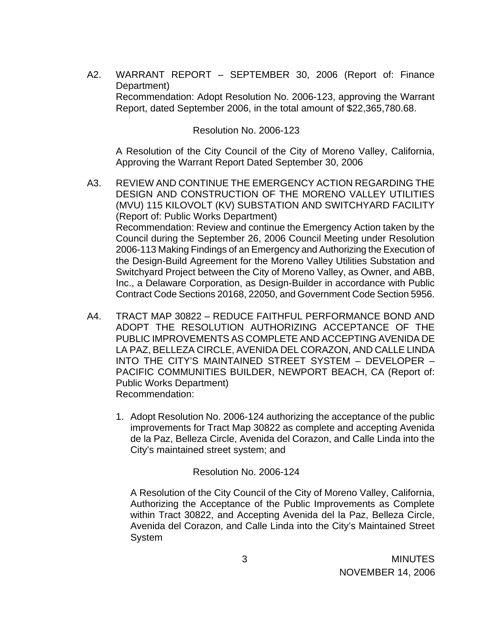A2. WARRANT REPORT – SEPTEMBER 30, 2006 (Report of: Finance Department) Recommendation: Adopt Resolution No. 2006-123, approving the Warrant Report, dated September 2006, in the total amount of \$22,365,780.68.

Resolution No. 2006-123

A Resolution of the City Council of the City of Moreno Valley, California, Approving the Warrant Report Dated September 30, 2006

- A3. REVIEW AND CONTINUE THE EMERGENCY ACTION REGARDING THE DESIGN AND CONSTRUCTION OF THE MORENO VALLEY UTILITIES (MVU) 115 KILOVOLT (KV) SUBSTATION AND SWITCHYARD FACILITY (Report of: Public Works Department) Recommendation: Review and continue the Emergency Action taken by the Council during the September 26, 2006 Council Meeting under Resolution 2006-113 Making Findings of an Emergency and Authorizing the Execution of the Design-Build Agreement for the Moreno Valley Utilities Substation and Switchyard Project between the City of Moreno Valley, as Owner, and ABB, Inc., a Delaware Corporation, as Design-Builder in accordance with Public Contract Code Sections 20168, 22050, and Government Code Section 5956.
- A4. TRACT MAP 30822 REDUCE FAITHFUL PERFORMANCE BOND AND ADOPT THE RESOLUTION AUTHORIZING ACCEPTANCE OF THE PUBLIC IMPROVEMENTS AS COMPLETE AND ACCEPTING AVENIDA DE LA PAZ, BELLEZA CIRCLE, AVENIDA DEL CORAZON, AND CALLE LINDA INTO THE CITY'S MAINTAINED STREET SYSTEM – DEVELOPER – PACIFIC COMMUNITIES BUILDER, NEWPORT BEACH, CA (Report of: Public Works Department) Recommendation:
	- 1. Adopt Resolution No. 2006-124 authorizing the acceptance of the public improvements for Tract Map 30822 as complete and accepting Avenida de la Paz, Belleza Circle, Avenida del Corazon, and Calle Linda into the City's maintained street system; and

#### Resolution No. 2006-124

A Resolution of the City Council of the City of Moreno Valley, California, Authorizing the Acceptance of the Public Improvements as Complete within Tract 30822, and Accepting Avenida del la Paz, Belleza Circle, Avenida del Corazon, and Calle Linda into the City's Maintained Street System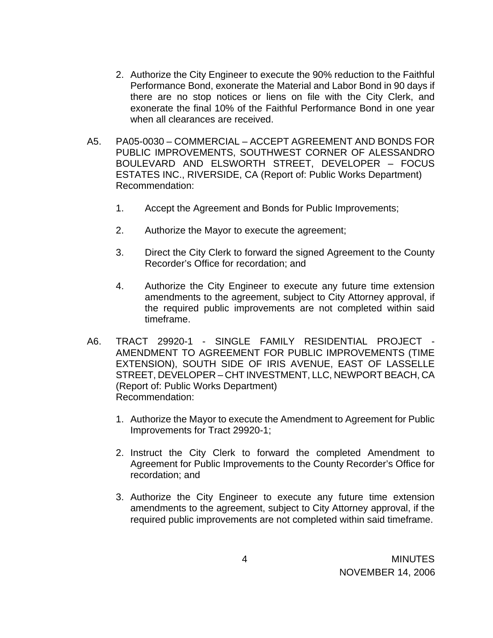- 2. Authorize the City Engineer to execute the 90% reduction to the Faithful Performance Bond, exonerate the Material and Labor Bond in 90 days if there are no stop notices or liens on file with the City Clerk, and exonerate the final 10% of the Faithful Performance Bond in one year when all clearances are received.
- A5. PA05-0030 COMMERCIAL ACCEPT AGREEMENT AND BONDS FOR PUBLIC IMPROVEMENTS, SOUTHWEST CORNER OF ALESSANDRO BOULEVARD AND ELSWORTH STREET, DEVELOPER – FOCUS ESTATES INC., RIVERSIDE, CA (Report of: Public Works Department) Recommendation:
	- 1. Accept the Agreement and Bonds for Public Improvements;
	- 2. Authorize the Mayor to execute the agreement;
	- 3. Direct the City Clerk to forward the signed Agreement to the County Recorder's Office for recordation; and
	- 4. Authorize the City Engineer to execute any future time extension amendments to the agreement, subject to City Attorney approval, if the required public improvements are not completed within said timeframe.
- A6. TRACT 29920-1 SINGLE FAMILY RESIDENTIAL PROJECT AMENDMENT TO AGREEMENT FOR PUBLIC IMPROVEMENTS (TIME EXTENSION), SOUTH SIDE OF IRIS AVENUE, EAST OF LASSELLE STREET, DEVELOPER – CHT INVESTMENT, LLC, NEWPORT BEACH, CA (Report of: Public Works Department) Recommendation:
	- 1. Authorize the Mayor to execute the Amendment to Agreement for Public Improvements for Tract 29920-1;
	- 2. Instruct the City Clerk to forward the completed Amendment to Agreement for Public Improvements to the County Recorder's Office for recordation; and
	- 3. Authorize the City Engineer to execute any future time extension amendments to the agreement, subject to City Attorney approval, if the required public improvements are not completed within said timeframe.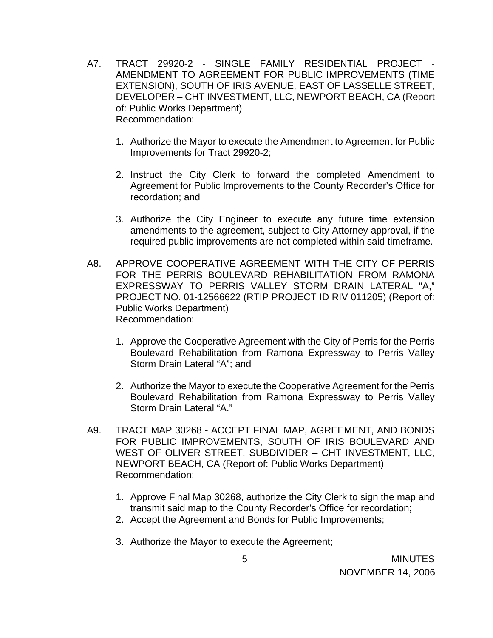- A7. TRACT 29920-2 SINGLE FAMILY RESIDENTIAL PROJECT AMENDMENT TO AGREEMENT FOR PUBLIC IMPROVEMENTS (TIME EXTENSION), SOUTH OF IRIS AVENUE, EAST OF LASSELLE STREET, DEVELOPER – CHT INVESTMENT, LLC, NEWPORT BEACH, CA (Report of: Public Works Department) Recommendation:
	- 1. Authorize the Mayor to execute the Amendment to Agreement for Public Improvements for Tract 29920-2;
	- 2. Instruct the City Clerk to forward the completed Amendment to Agreement for Public Improvements to the County Recorder's Office for recordation; and
	- 3. Authorize the City Engineer to execute any future time extension amendments to the agreement, subject to City Attorney approval, if the required public improvements are not completed within said timeframe.
- A8. APPROVE COOPERATIVE AGREEMENT WITH THE CITY OF PERRIS FOR THE PERRIS BOULEVARD REHABILITATION FROM RAMONA EXPRESSWAY TO PERRIS VALLEY STORM DRAIN LATERAL "A," PROJECT NO. 01-12566622 (RTIP PROJECT ID RIV 011205) (Report of: Public Works Department) Recommendation:
	- 1. Approve the Cooperative Agreement with the City of Perris for the Perris Boulevard Rehabilitation from Ramona Expressway to Perris Valley Storm Drain Lateral "A"; and
	- 2. Authorize the Mayor to execute the Cooperative Agreement for the Perris Boulevard Rehabilitation from Ramona Expressway to Perris Valley Storm Drain Lateral "A."
- A9. TRACT MAP 30268 ACCEPT FINAL MAP, AGREEMENT, AND BONDS FOR PUBLIC IMPROVEMENTS, SOUTH OF IRIS BOULEVARD AND WEST OF OLIVER STREET, SUBDIVIDER – CHT INVESTMENT, LLC, NEWPORT BEACH, CA (Report of: Public Works Department) Recommendation:
	- 1. Approve Final Map 30268, authorize the City Clerk to sign the map and transmit said map to the County Recorder's Office for recordation;
	- 2. Accept the Agreement and Bonds for Public Improvements;
	- 3. Authorize the Mayor to execute the Agreement;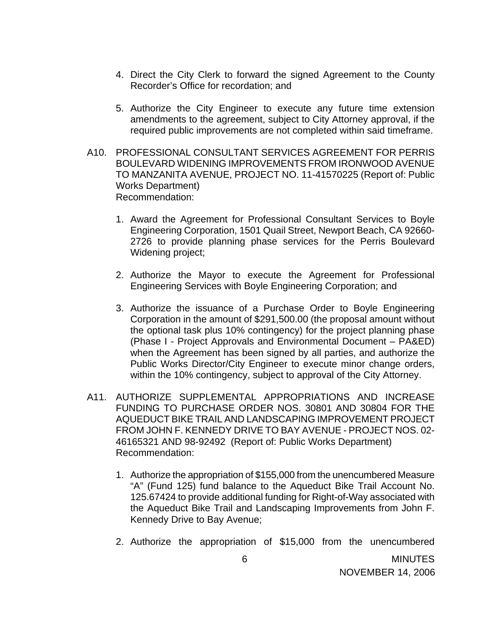- 4. Direct the City Clerk to forward the signed Agreement to the County Recorder's Office for recordation; and
- 5. Authorize the City Engineer to execute any future time extension amendments to the agreement, subject to City Attorney approval, if the required public improvements are not completed within said timeframe.
- A10. PROFESSIONAL CONSULTANT SERVICES AGREEMENT FOR PERRIS BOULEVARD WIDENING IMPROVEMENTS FROM IRONWOOD AVENUE TO MANZANITA AVENUE, PROJECT NO. 11-41570225 (Report of: Public Works Department) Recommendation:
	- 1. Award the Agreement for Professional Consultant Services to Boyle Engineering Corporation, 1501 Quail Street, Newport Beach, CA 92660- 2726 to provide planning phase services for the Perris Boulevard Widening project;
	- 2. Authorize the Mayor to execute the Agreement for Professional Engineering Services with Boyle Engineering Corporation; and
	- 3. Authorize the issuance of a Purchase Order to Boyle Engineering Corporation in the amount of \$291,500.00 (the proposal amount without the optional task plus 10% contingency) for the project planning phase (Phase I - Project Approvals and Environmental Document – PA&ED) when the Agreement has been signed by all parties, and authorize the Public Works Director/City Engineer to execute minor change orders, within the 10% contingency, subject to approval of the City Attorney.
- A11. AUTHORIZE SUPPLEMENTAL APPROPRIATIONS AND INCREASE FUNDING TO PURCHASE ORDER NOS. 30801 AND 30804 FOR THE AQUEDUCT BIKE TRAIL AND LANDSCAPING IMPROVEMENT PROJECT FROM JOHN F. KENNEDY DRIVE TO BAY AVENUE - PROJECT NOS. 02- 46165321 AND 98-92492 (Report of: Public Works Department) Recommendation:
	- 1. Authorize the appropriation of \$155,000 from the unencumbered Measure "A" (Fund 125) fund balance to the Aqueduct Bike Trail Account No. 125.67424 to provide additional funding for Right-of-Way associated with the Aqueduct Bike Trail and Landscaping Improvements from John F. Kennedy Drive to Bay Avenue;
	- 2. Authorize the appropriation of \$15,000 from the unencumbered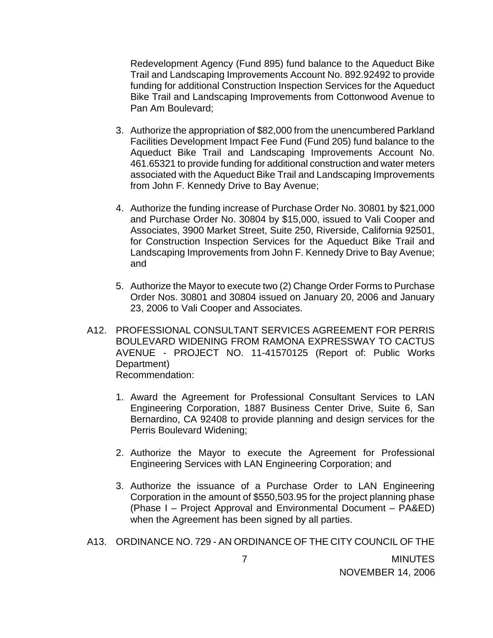Redevelopment Agency (Fund 895) fund balance to the Aqueduct Bike Trail and Landscaping Improvements Account No. 892.92492 to provide funding for additional Construction Inspection Services for the Aqueduct Bike Trail and Landscaping Improvements from Cottonwood Avenue to Pan Am Boulevard;

- 3. Authorize the appropriation of \$82,000 from the unencumbered Parkland Facilities Development Impact Fee Fund (Fund 205) fund balance to the Aqueduct Bike Trail and Landscaping Improvements Account No. 461.65321 to provide funding for additional construction and water meters associated with the Aqueduct Bike Trail and Landscaping Improvements from John F. Kennedy Drive to Bay Avenue;
- 4. Authorize the funding increase of Purchase Order No. 30801 by \$21,000 and Purchase Order No. 30804 by \$15,000, issued to Vali Cooper and Associates, 3900 Market Street, Suite 250, Riverside, California 92501, for Construction Inspection Services for the Aqueduct Bike Trail and Landscaping Improvements from John F. Kennedy Drive to Bay Avenue; and
- 5. Authorize the Mayor to execute two (2) Change Order Forms to Purchase Order Nos. 30801 and 30804 issued on January 20, 2006 and January 23, 2006 to Vali Cooper and Associates.
- A12. PROFESSIONAL CONSULTANT SERVICES AGREEMENT FOR PERRIS BOULEVARD WIDENING FROM RAMONA EXPRESSWAY TO CACTUS AVENUE - PROJECT NO. 11-41570125 (Report of: Public Works Department) Recommendation:
	- 1. Award the Agreement for Professional Consultant Services to LAN Engineering Corporation, 1887 Business Center Drive, Suite 6, San Bernardino, CA 92408 to provide planning and design services for the Perris Boulevard Widening;
	- 2. Authorize the Mayor to execute the Agreement for Professional Engineering Services with LAN Engineering Corporation; and
	- 3. Authorize the issuance of a Purchase Order to LAN Engineering Corporation in the amount of \$550,503.95 for the project planning phase (Phase I – Project Approval and Environmental Document – PA&ED) when the Agreement has been signed by all parties.
- A13. ORDINANCE NO. 729 AN ORDINANCE OF THE CITY COUNCIL OF THE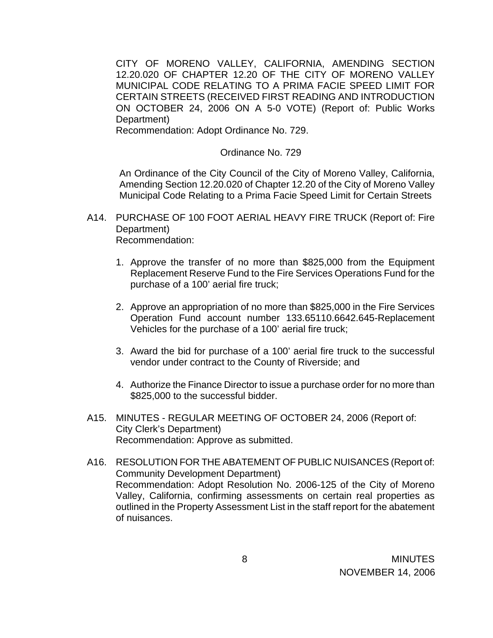CITY OF MORENO VALLEY, CALIFORNIA, AMENDING SECTION 12.20.020 OF CHAPTER 12.20 OF THE CITY OF MORENO VALLEY MUNICIPAL CODE RELATING TO A PRIMA FACIE SPEED LIMIT FOR CERTAIN STREETS (RECEIVED FIRST READING AND INTRODUCTION ON OCTOBER 24, 2006 ON A 5-0 VOTE) (Report of: Public Works Department)

Recommendation: Adopt Ordinance No. 729.

#### Ordinance No. 729

An Ordinance of the City Council of the City of Moreno Valley, California, Amending Section 12.20.020 of Chapter 12.20 of the City of Moreno Valley Municipal Code Relating to a Prima Facie Speed Limit for Certain Streets

- A14. PURCHASE OF 100 FOOT AERIAL HEAVY FIRE TRUCK (Report of: Fire Department) Recommendation:
	- 1. Approve the transfer of no more than \$825,000 from the Equipment Replacement Reserve Fund to the Fire Services Operations Fund for the purchase of a 100' aerial fire truck;
	- 2. Approve an appropriation of no more than \$825,000 in the Fire Services Operation Fund account number 133.65110.6642.645-Replacement Vehicles for the purchase of a 100' aerial fire truck;
	- 3. Award the bid for purchase of a 100' aerial fire truck to the successful vendor under contract to the County of Riverside; and
	- 4. Authorize the Finance Director to issue a purchase order for no more than \$825,000 to the successful bidder.
- A15. MINUTES REGULAR MEETING OF OCTOBER 24, 2006 (Report of: City Clerk's Department) Recommendation: Approve as submitted.
- A16. RESOLUTION FOR THE ABATEMENT OF PUBLIC NUISANCES (Report of: Community Development Department) Recommendation: Adopt Resolution No. 2006-125 of the City of Moreno Valley, California, confirming assessments on certain real properties as outlined in the Property Assessment List in the staff report for the abatement of nuisances.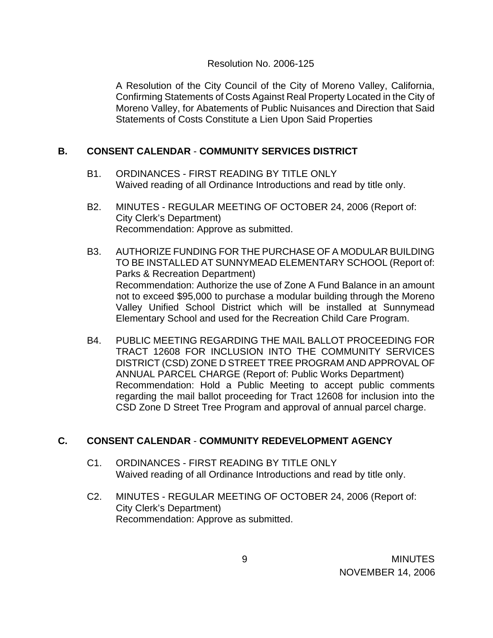#### Resolution No. 2006-125

A Resolution of the City Council of the City of Moreno Valley, California, Confirming Statements of Costs Against Real Property Located in the City of Moreno Valley, for Abatements of Public Nuisances and Direction that Said Statements of Costs Constitute a Lien Upon Said Properties

### **B. CONSENT CALENDAR** - **COMMUNITY SERVICES DISTRICT**

- B1. ORDINANCES FIRST READING BY TITLE ONLY Waived reading of all Ordinance Introductions and read by title only.
- B2. MINUTES REGULAR MEETING OF OCTOBER 24, 2006 (Report of: City Clerk's Department) Recommendation: Approve as submitted.
- B3. AUTHORIZE FUNDING FOR THE PURCHASE OF A MODULAR BUILDING TO BE INSTALLED AT SUNNYMEAD ELEMENTARY SCHOOL (Report of: Parks & Recreation Department) Recommendation: Authorize the use of Zone A Fund Balance in an amount not to exceed \$95,000 to purchase a modular building through the Moreno Valley Unified School District which will be installed at Sunnymead Elementary School and used for the Recreation Child Care Program.
- B4. PUBLIC MEETING REGARDING THE MAIL BALLOT PROCEEDING FOR TRACT 12608 FOR INCLUSION INTO THE COMMUNITY SERVICES DISTRICT (CSD) ZONE D STREET TREE PROGRAM AND APPROVAL OF ANNUAL PARCEL CHARGE (Report of: Public Works Department) Recommendation: Hold a Public Meeting to accept public comments regarding the mail ballot proceeding for Tract 12608 for inclusion into the CSD Zone D Street Tree Program and approval of annual parcel charge.

#### **C. CONSENT CALENDAR** - **COMMUNITY REDEVELOPMENT AGENCY**

- C1. ORDINANCES FIRST READING BY TITLE ONLY Waived reading of all Ordinance Introductions and read by title only.
- C2. MINUTES REGULAR MEETING OF OCTOBER 24, 2006 (Report of: City Clerk's Department) Recommendation: Approve as submitted.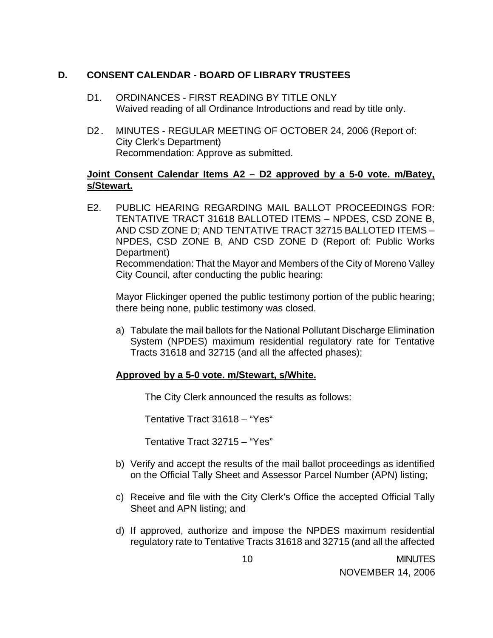### **D. CONSENT CALENDAR** - **BOARD OF LIBRARY TRUSTEES**

- D1. ORDINANCES FIRST READING BY TITLE ONLY Waived reading of all Ordinance Introductions and read by title only.
- D2. MINUTES REGULAR MEETING OF OCTOBER 24, 2006 (Report of: City Clerk's Department) Recommendation: Approve as submitted.

### **Joint Consent Calendar Items A2 – D2 approved by a 5-0 vote. m/Batey, s/Stewart.**

E2. PUBLIC HEARING REGARDING MAIL BALLOT PROCEEDINGS FOR: TENTATIVE TRACT 31618 BALLOTED ITEMS – NPDES, CSD ZONE B, AND CSD ZONE D; AND TENTATIVE TRACT 32715 BALLOTED ITEMS – NPDES, CSD ZONE B, AND CSD ZONE D (Report of: Public Works Department) Recommendation: That the Mayor and Members of the City of Moreno Valley City Council, after conducting the public hearing:

 Mayor Flickinger opened the public testimony portion of the public hearing; there being none, public testimony was closed.

a) Tabulate the mail ballots for the National Pollutant Discharge Elimination System (NPDES) maximum residential regulatory rate for Tentative Tracts 31618 and 32715 (and all the affected phases);

#### **Approved by a 5-0 vote. m/Stewart, s/White.**

The City Clerk announced the results as follows:

Tentative Tract 31618 – "Yes"

Tentative Tract 32715 – "Yes"

- b) Verify and accept the results of the mail ballot proceedings as identified on the Official Tally Sheet and Assessor Parcel Number (APN) listing;
- c) Receive and file with the City Clerk's Office the accepted Official Tally Sheet and APN listing; and
- d) If approved, authorize and impose the NPDES maximum residential regulatory rate to Tentative Tracts 31618 and 32715 (and all the affected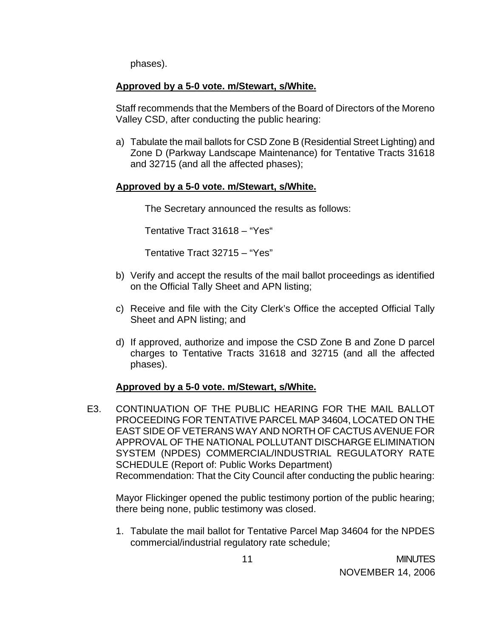phases).

### **Approved by a 5-0 vote. m/Stewart, s/White.**

 Staff recommends that the Members of the Board of Directors of the Moreno Valley CSD, after conducting the public hearing:

a) Tabulate the mail ballots for CSD Zone B (Residential Street Lighting) and Zone D (Parkway Landscape Maintenance) for Tentative Tracts 31618 and 32715 (and all the affected phases);

### **Approved by a 5-0 vote. m/Stewart, s/White.**

The Secretary announced the results as follows:

Tentative Tract 31618 – "Yes"

Tentative Tract 32715 – "Yes"

- b) Verify and accept the results of the mail ballot proceedings as identified on the Official Tally Sheet and APN listing;
- c) Receive and file with the City Clerk's Office the accepted Official Tally Sheet and APN listing; and
- d) If approved, authorize and impose the CSD Zone B and Zone D parcel charges to Tentative Tracts 31618 and 32715 (and all the affected phases).

#### **Approved by a 5-0 vote. m/Stewart, s/White.**

E3. CONTINUATION OF THE PUBLIC HEARING FOR THE MAIL BALLOT PROCEEDING FOR TENTATIVE PARCEL MAP 34604, LOCATED ON THE EAST SIDE OF VETERANS WAY AND NORTH OF CACTUS AVENUE FOR APPROVAL OF THE NATIONAL POLLUTANT DISCHARGE ELIMINATION SYSTEM (NPDES) COMMERCIAL/INDUSTRIAL REGULATORY RATE SCHEDULE (Report of: Public Works Department) Recommendation: That the City Council after conducting the public hearing:

 Mayor Flickinger opened the public testimony portion of the public hearing; there being none, public testimony was closed.

1. Tabulate the mail ballot for Tentative Parcel Map 34604 for the NPDES commercial/industrial regulatory rate schedule;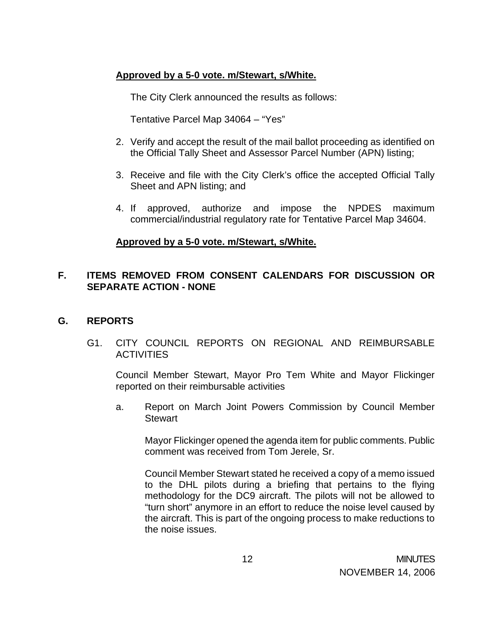### **Approved by a 5-0 vote. m/Stewart, s/White.**

The City Clerk announced the results as follows:

Tentative Parcel Map 34064 – "Yes"

- 2. Verify and accept the result of the mail ballot proceeding as identified on the Official Tally Sheet and Assessor Parcel Number (APN) listing;
- 3. Receive and file with the City Clerk's office the accepted Official Tally Sheet and APN listing; and
- 4. If approved, authorize and impose the NPDES maximum commercial/industrial regulatory rate for Tentative Parcel Map 34604.

### **Approved by a 5-0 vote. m/Stewart, s/White.**

### **F. ITEMS REMOVED FROM CONSENT CALENDARS FOR DISCUSSION OR SEPARATE ACTION - NONE**

### **G. REPORTS**

G1. CITY COUNCIL REPORTS ON REGIONAL AND REIMBURSABLE **ACTIVITIES** 

Council Member Stewart, Mayor Pro Tem White and Mayor Flickinger reported on their reimbursable activities

a. Report on March Joint Powers Commission by Council Member **Stewart** 

 Mayor Flickinger opened the agenda item for public comments. Public comment was received from Tom Jerele, Sr.

 Council Member Stewart stated he received a copy of a memo issued to the DHL pilots during a briefing that pertains to the flying methodology for the DC9 aircraft. The pilots will not be allowed to "turn short" anymore in an effort to reduce the noise level caused by the aircraft. This is part of the ongoing process to make reductions to the noise issues.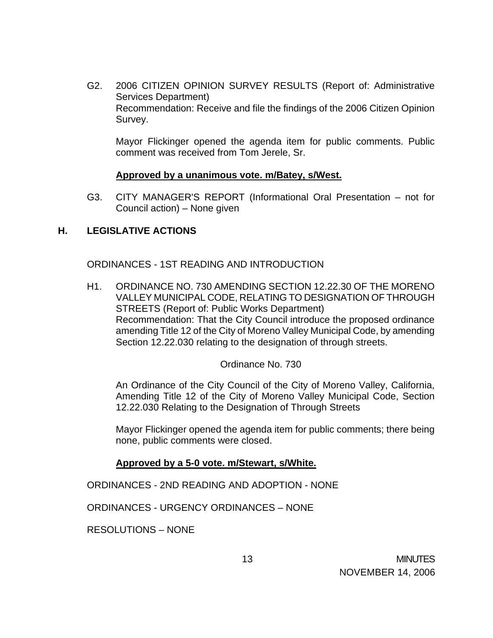G2. 2006 CITIZEN OPINION SURVEY RESULTS (Report of: Administrative Services Department) Recommendation: Receive and file the findings of the 2006 Citizen Opinion Survey.

 Mayor Flickinger opened the agenda item for public comments. Public comment was received from Tom Jerele, Sr.

#### **Approved by a unanimous vote. m/Batey, s/West.**

G3. CITY MANAGER'S REPORT (Informational Oral Presentation – not for Council action) – None given

#### **H. LEGISLATIVE ACTIONS**

ORDINANCES - 1ST READING AND INTRODUCTION

H1. ORDINANCE NO. 730 AMENDING SECTION 12.22.30 OF THE MORENO VALLEY MUNICIPAL CODE, RELATING TO DESIGNATION OF THROUGH STREETS (Report of: Public Works Department) Recommendation: That the City Council introduce the proposed ordinance amending Title 12 of the City of Moreno Valley Municipal Code, by amending Section 12.22.030 relating to the designation of through streets.

#### Ordinance No. 730

An Ordinance of the City Council of the City of Moreno Valley, California, Amending Title 12 of the City of Moreno Valley Municipal Code, Section 12.22.030 Relating to the Designation of Through Streets

 Mayor Flickinger opened the agenda item for public comments; there being none, public comments were closed.

#### **Approved by a 5-0 vote. m/Stewart, s/White.**

ORDINANCES - 2ND READING AND ADOPTION - NONE

ORDINANCES - URGENCY ORDINANCES – NONE

RESOLUTIONS – NONE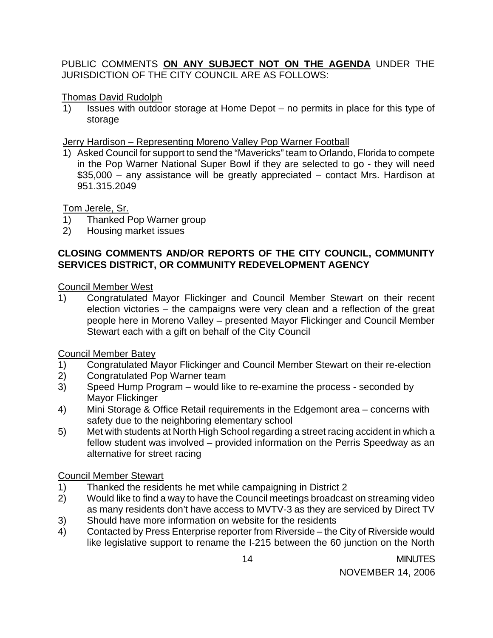### PUBLIC COMMENTS **ON ANY SUBJECT NOT ON THE AGENDA** UNDER THE JURISDICTION OF THE CITY COUNCIL ARE AS FOLLOWS:

### Thomas David Rudolph

1) Issues with outdoor storage at Home Depot – no permits in place for this type of storage

### Jerry Hardison – Representing Moreno Valley Pop Warner Football

1) Asked Council for support to send the "Mavericks" team to Orlando, Florida to compete in the Pop Warner National Super Bowl if they are selected to go - they will need \$35,000 – any assistance will be greatly appreciated – contact Mrs. Hardison at 951.315.2049

Tom Jerele, Sr.

- 1) Thanked Pop Warner group
- 2) Housing market issues

### **CLOSING COMMENTS AND/OR REPORTS OF THE CITY COUNCIL, COMMUNITY SERVICES DISTRICT, OR COMMUNITY REDEVELOPMENT AGENCY**

Council Member West

1) Congratulated Mayor Flickinger and Council Member Stewart on their recent election victories – the campaigns were very clean and a reflection of the great people here in Moreno Valley – presented Mayor Flickinger and Council Member Stewart each with a gift on behalf of the City Council

Council Member Batey

- 1) Congratulated Mayor Flickinger and Council Member Stewart on their re-election
- 2) Congratulated Pop Warner team
- 3) Speed Hump Program would like to re-examine the process seconded by Mayor Flickinger
- 4) Mini Storage & Office Retail requirements in the Edgemont area concerns with safety due to the neighboring elementary school
- 5) Met with students at North High School regarding a street racing accident in which a fellow student was involved – provided information on the Perris Speedway as an alternative for street racing

## Council Member Stewart

- 1) Thanked the residents he met while campaigning in District 2
- 2) Would like to find a way to have the Council meetings broadcast on streaming video as many residents don't have access to MVTV-3 as they are serviced by Direct TV
- 3) Should have more information on website for the residents
- 4) Contacted by Press Enterprise reporter from Riverside the City of Riverside would like legislative support to rename the I-215 between the 60 junction on the North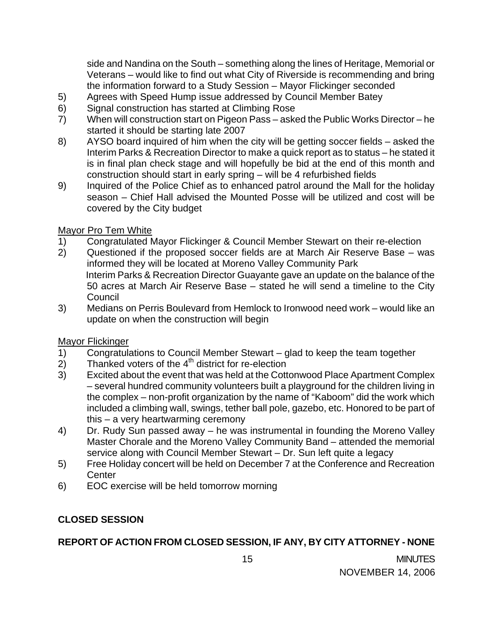side and Nandina on the South – something along the lines of Heritage, Memorial or Veterans – would like to find out what City of Riverside is recommending and bring the information forward to a Study Session – Mayor Flickinger seconded

- 5) Agrees with Speed Hump issue addressed by Council Member Batey
- 6) Signal construction has started at Climbing Rose
- 7) When will construction start on Pigeon Pass asked the Public Works Director he started it should be starting late 2007
- 8) AYSO board inquired of him when the city will be getting soccer fields asked the Interim Parks & Recreation Director to make a quick report as to status – he stated it is in final plan check stage and will hopefully be bid at the end of this month and construction should start in early spring – will be 4 refurbished fields
- 9) Inquired of the Police Chief as to enhanced patrol around the Mall for the holiday season – Chief Hall advised the Mounted Posse will be utilized and cost will be covered by the City budget

## Mayor Pro Tem White

- 1) Congratulated Mayor Flickinger & Council Member Stewart on their re-election
- 2) Questioned if the proposed soccer fields are at March Air Reserve Base was informed they will be located at Moreno Valley Community Park Interim Parks & Recreation Director Guayante gave an update on the balance of the 50 acres at March Air Reserve Base – stated he will send a timeline to the City Council
- 3) Medians on Perris Boulevard from Hemlock to Ironwood need work would like an update on when the construction will begin

## Mayor Flickinger

- 1) Congratulations to Council Member Stewart glad to keep the team together
- $2)$  Thanked voters of the  $4<sup>th</sup>$  district for re-election
- 3) Excited about the event that was held at the Cottonwood Place Apartment Complex – several hundred community volunteers built a playground for the children living in the complex – non-profit organization by the name of "Kaboom" did the work which included a climbing wall, swings, tether ball pole, gazebo, etc. Honored to be part of this – a very heartwarming ceremony
- 4) Dr. Rudy Sun passed away he was instrumental in founding the Moreno Valley Master Chorale and the Moreno Valley Community Band – attended the memorial service along with Council Member Stewart – Dr. Sun left quite a legacy
- 5) Free Holiday concert will be held on December 7 at the Conference and Recreation **Center**
- 6) EOC exercise will be held tomorrow morning

# **CLOSED SESSION**

# **REPORT OF ACTION FROM CLOSED SESSION, IF ANY, BY CITY ATTORNEY - NONE**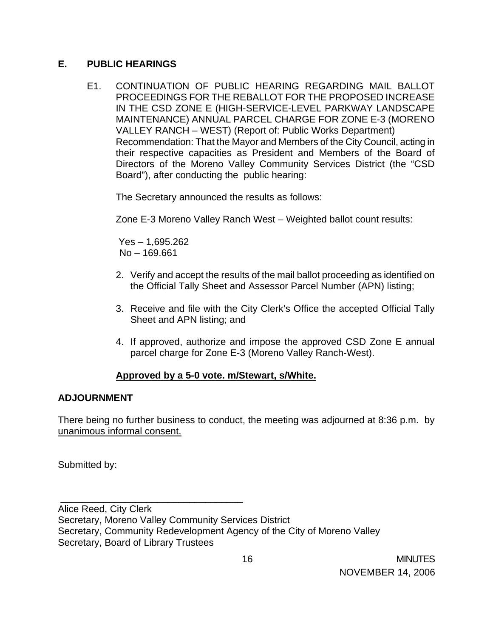### **E. PUBLIC HEARINGS**

E1. CONTINUATION OF PUBLIC HEARING REGARDING MAIL BALLOT PROCEEDINGS FOR THE REBALLOT FOR THE PROPOSED INCREASE IN THE CSD ZONE E (HIGH-SERVICE-LEVEL PARKWAY LANDSCAPE MAINTENANCE) ANNUAL PARCEL CHARGE FOR ZONE E-3 (MORENO VALLEY RANCH – WEST) (Report of: Public Works Department) Recommendation: That the Mayor and Members of the City Council, acting in their respective capacities as President and Members of the Board of Directors of the Moreno Valley Community Services District (the "CSD Board"), after conducting the public hearing:

The Secretary announced the results as follows:

Zone E-3 Moreno Valley Ranch West – Weighted ballot count results:

 Yes – 1,695.262 No – 169.661

\_\_\_\_\_\_\_\_\_\_\_\_\_\_\_\_\_\_\_\_\_\_\_\_\_\_\_\_\_\_\_\_\_\_

- 2. Verify and accept the results of the mail ballot proceeding as identified on the Official Tally Sheet and Assessor Parcel Number (APN) listing;
- 3. Receive and file with the City Clerk's Office the accepted Official Tally Sheet and APN listing; and
- 4. If approved, authorize and impose the approved CSD Zone E annual parcel charge for Zone E-3 (Moreno Valley Ranch-West).

### **Approved by a 5-0 vote. m/Stewart, s/White.**

### **ADJOURNMENT**

There being no further business to conduct, the meeting was adjourned at 8:36 p.m. by unanimous informal consent.

Submitted by:

Alice Reed, City Clerk Secretary, Moreno Valley Community Services District Secretary, Community Redevelopment Agency of the City of Moreno Valley Secretary, Board of Library Trustees